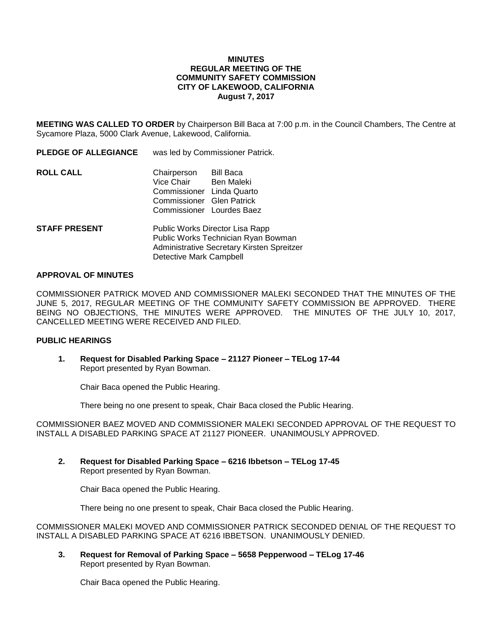## **MINUTES REGULAR MEETING OF THE COMMUNITY SAFETY COMMISSION CITY OF LAKEWOOD, CALIFORNIA August 7, 2017**

**MEETING WAS CALLED TO ORDER** by Chairperson Bill Baca at 7:00 p.m. in the Council Chambers, The Centre at Sycamore Plaza, 5000 Clark Avenue, Lakewood, California.

**PLEDGE OF ALLEGIANCE** was led by Commissioner Patrick.

| <b>ROLL CALL</b> | Chairperson               | Bill Baca  |
|------------------|---------------------------|------------|
|                  | Vice Chair                | Ben Maleki |
|                  | Commissioner Linda Quarto |            |
|                  | Commissioner Glen Patrick |            |
|                  | Commissioner Lourdes Baez |            |
|                  |                           |            |

**STAFF PRESENT** Public Works Director Lisa Rapp Public Works Technician Ryan Bowman Administrative Secretary Kirsten Spreitzer Detective Mark Campbell

#### **APPROVAL OF MINUTES**

COMMISSIONER PATRICK MOVED AND COMMISSIONER MALEKI SECONDED THAT THE MINUTES OF THE JUNE 5, 2017, REGULAR MEETING OF THE COMMUNITY SAFETY COMMISSION BE APPROVED. THERE BEING NO OBJECTIONS, THE MINUTES WERE APPROVED. THE MINUTES OF THE JULY 10, 2017, CANCELLED MEETING WERE RECEIVED AND FILED.

#### **PUBLIC HEARINGS**

**1. Request for Disabled Parking Space – 21127 Pioneer – TELog 17-44** Report presented by Ryan Bowman.

Chair Baca opened the Public Hearing.

There being no one present to speak, Chair Baca closed the Public Hearing.

COMMISSIONER BAEZ MOVED AND COMMISSIONER MALEKI SECONDED APPROVAL OF THE REQUEST TO INSTALL A DISABLED PARKING SPACE AT 21127 PIONEER. UNANIMOUSLY APPROVED.

**2. Request for Disabled Parking Space – 6216 Ibbetson – TELog 17-45** Report presented by Ryan Bowman.

Chair Baca opened the Public Hearing.

There being no one present to speak, Chair Baca closed the Public Hearing.

COMMISSIONER MALEKI MOVED AND COMMISSIONER PATRICK SECONDED DENIAL OF THE REQUEST TO INSTALL A DISABLED PARKING SPACE AT 6216 IBBETSON. UNANIMOUSLY DENIED.

**3. Request for Removal of Parking Space – 5658 Pepperwood – TELog 17-46** Report presented by Ryan Bowman.

Chair Baca opened the Public Hearing.